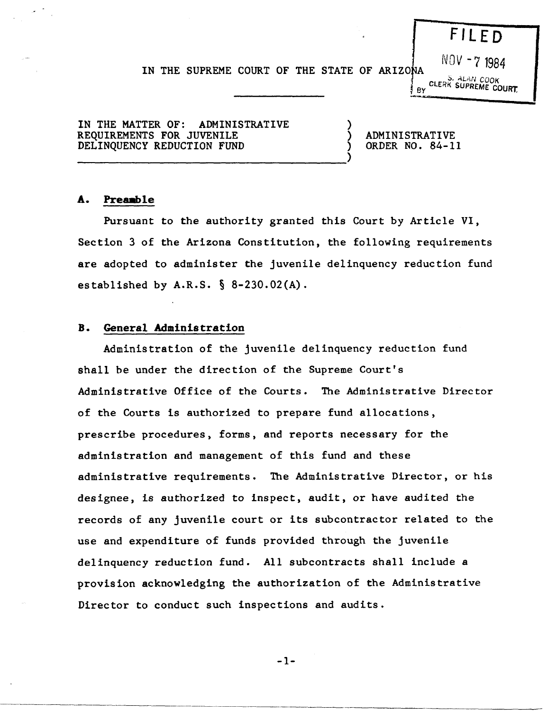# **F Il ED**

### IN THE SUPREME COURT OF THE STATE OF ARIZONA

.:;. *ALAN COOK*  BY CLERK SUPREME COURT

NOV -7 1984

IN THE MATTER OF: ADMINISTRATIVE REQUIREMENTS FOR JUVENILE DELINQUENCY REDUCTION FUND

-------------------------------------)

) ADMINISTRATIVE ) ORDER NO. 84-11

)

..... 1&% ....

#### A. Preamble

Pursuant to the authority granted this Court by Article VI, Section 3 of the Arizona Constitution, the following requirements are adopted to administer the juvenile delinquency reduction fund established by  $A.R.S. \S 8-230.02(A)$ .

#### **B. General Administration**

Administration of the juvenile delinquency reduction fund shall be under the direction of the Supreme Court's Administrative Office of the Courts. The Administrative Director of the Courts is authorized to prepare fund allocations, prescribe procedures, forms, and reports necessary for the administration and management of this fund and these administrative requirements. The Administrative Director, or his designee, is authorized to inspect, audit, or have audited the records of any juvenile court or its subcontractor related to the use and expenditure of funds provided through the juvenile delinquency reduction fund. All subcontracts shall include a provision acknowledging the authorization of the Administrative Director to conduct such inspections and audits.

-1-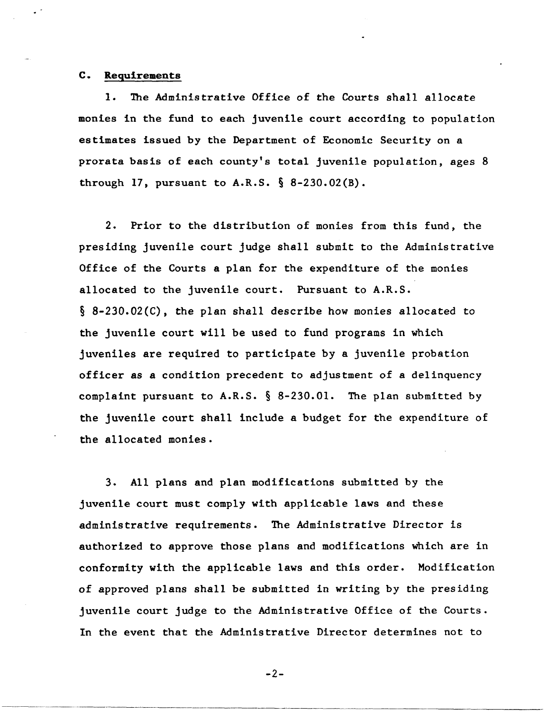#### **c. R.equirements**

1. The Administrative Office of the Courts shall allocate monies in the fund to each juvenile court according to population estimates issued by the Department of Economic Security on a prorata basis of each county's total juvenile population, ages 8 through 17, pursuant to A.R.S.  $\S$  8-230.02(B).

2. Prior to the distribution of monies from this fund, the presiding juvenile court judge shall submit to the Administrative Office of the Courts a plan for the expenditure of the monies allocated to the juvenile court. Pursuant to A.R.S. § 8-230.02(C), the plan shall describe how monies allocated to the juvenile court will be used to fund programs in which juveniles are required to participate by a juvenile probation officer as a condition precedent to adjustment of a delinquency complaint pursuant to A.R.S.  $\S$  8-230.01. The plan submitted by the juvenile court shall include a budget for the expenditure of the allocated monies.

3. All plans and plan modifications submitted by the juvenile court must comply with applicable laws and these administrative requirements. The Administrative Director is authorized to approve those plans and modifications which are in conformity with the applicable laws and this order. Modification of approved plans shall be submitted in writing by the presiding juvenile court judge to the Administrative Office of the Courts. In the event that the Administrative Director determines not to

 $-2-$ 

---\_.\_----------------------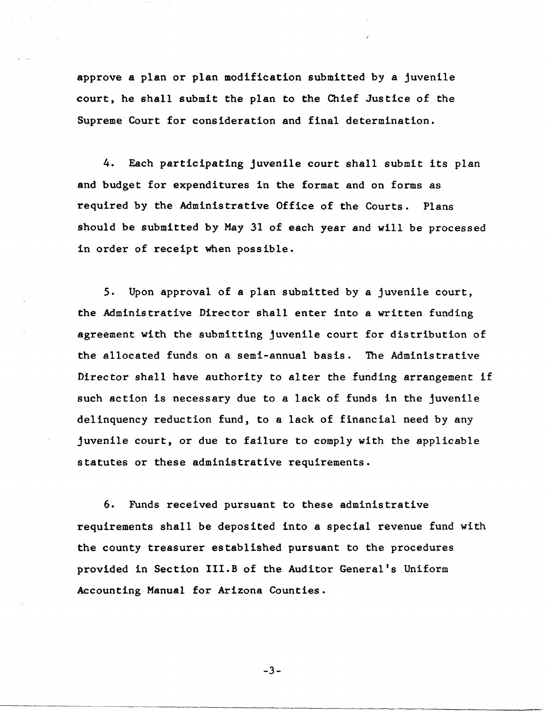approve a plan or plan modification submitted by a juvenile court, he shall submit the plan to the Chief Justice of the Supreme Court for consideration and final determination.

4. Each participating juvenile court shall submit its plan and budget for expenditures in the format and on forms as required by the Administrative Office of the Courts. Plans should be submitted by May 31 of each year and will be processed in order of receipt when possible.

5. Upon approval of a plan submitted by a juvenile court, the Administrative Director shall enter into a written funding agreement with the submitting juvenile court for distribution of the allocated funds on a semi-annual basis. The Administrative Director shall have authority to alter the funding arrangement if such action is necessary due to a lack of funds in the juvenile delinquency reduction fund, to a lack of financial need by any juvenile court, or due to failure to comply with the applicable statutes or these administrative requirements.

6. Funds received pursuant to these administrative requirements shall be deposited into a special revenue fund with the county treasurer established pursuant to the procedures provided in Section III.B of the Auditor General's Uniform Accounting Manual for Arizona Counties.

-3-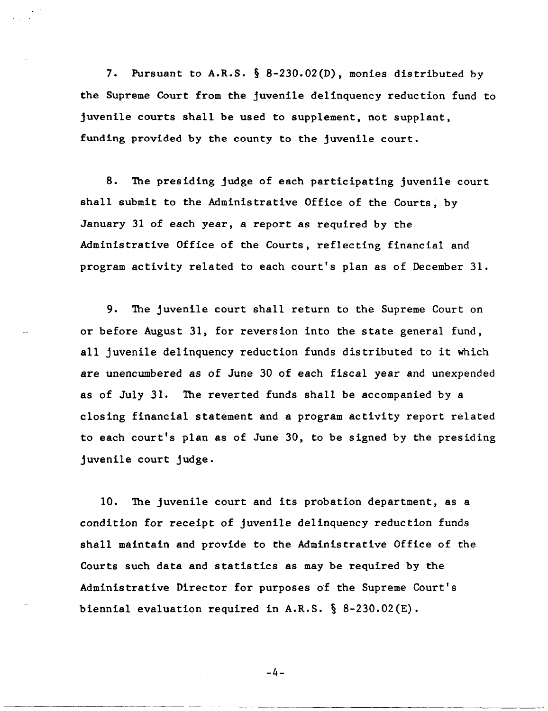7. Pursuant to A.R.S. § 8-230.02(D), monies distributed by the Supreme Court from the juvenile delinquency reduction fund to juvenile courts shall be used to supplement, not supplant, funding provided by the county to the juvenile court.

8. The presiding judge of each participating juvenile court shall submit to the Administrative Office of the Courts, by January 31 of each year, a report as required by the Administrative Office of the Courts, reflecting financial and program activity related to each court's plan as of December 31.

9. The juvenile court shall return to the Supreme Court on or before August 31, for reversion into the state general fund, all juvenile delinquency reduction funds distributed to it which are unencumbered as of June 30 of each fiscal year and unexpended as of July 31. The reverted funds shall be accompanied by a closing financial statement and a program activity report related to each court's plan as of June 30, to be signed by the presiding juvenile court judge.

10. The juvenile court and its probation department, as a condition for receipt of juvenile delinquency reduction funds shall maintain and provide to the Administrative Office of the Courts such data and statistics as may be required by the Administrative Director for purposes of the Supreme Court's biennial evaluation required in A.R.S.  $\S$  8-230.02(E).

-4-